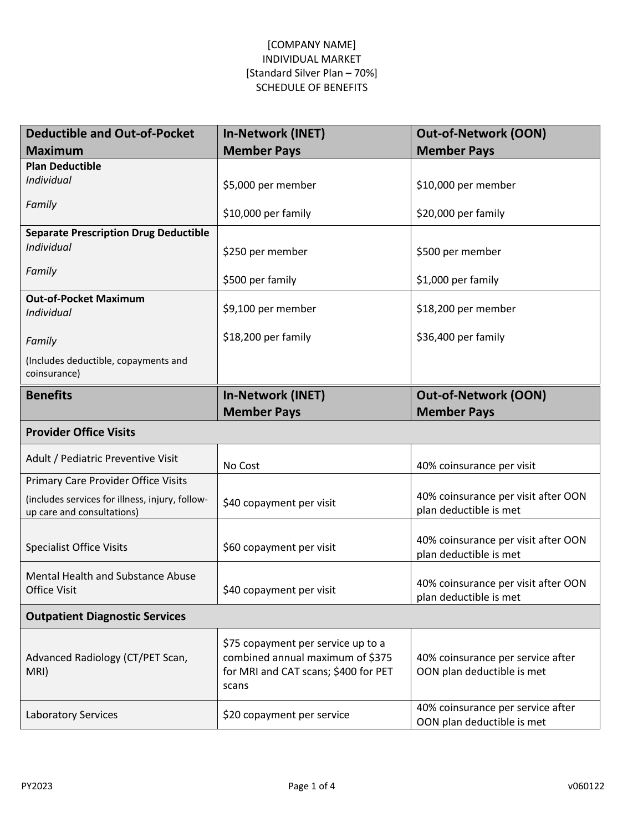| <b>Deductible and Out-of-Pocket</b>                                           | In-Network (INET)                                                                                                       | <b>Out-of-Network (OON)</b>                                     |
|-------------------------------------------------------------------------------|-------------------------------------------------------------------------------------------------------------------------|-----------------------------------------------------------------|
| <b>Maximum</b>                                                                | <b>Member Pays</b>                                                                                                      | <b>Member Pays</b>                                              |
| <b>Plan Deductible</b><br>Individual                                          | \$5,000 per member                                                                                                      | \$10,000 per member                                             |
| Family                                                                        | \$10,000 per family                                                                                                     | \$20,000 per family                                             |
| <b>Separate Prescription Drug Deductible</b><br>Individual                    | \$250 per member                                                                                                        | \$500 per member                                                |
| Family                                                                        | \$500 per family                                                                                                        | \$1,000 per family                                              |
| <b>Out-of-Pocket Maximum</b><br>Individual                                    | \$9,100 per member                                                                                                      | \$18,200 per member                                             |
| Family                                                                        | \$18,200 per family                                                                                                     | \$36,400 per family                                             |
| (Includes deductible, copayments and<br>coinsurance)                          |                                                                                                                         |                                                                 |
| <b>Benefits</b>                                                               | <b>In-Network (INET)</b><br><b>Member Pays</b>                                                                          | <b>Out-of-Network (OON)</b><br><b>Member Pays</b>               |
| <b>Provider Office Visits</b>                                                 |                                                                                                                         |                                                                 |
| Adult / Pediatric Preventive Visit                                            | No Cost                                                                                                                 | 40% coinsurance per visit                                       |
| Primary Care Provider Office Visits                                           |                                                                                                                         |                                                                 |
| (includes services for illness, injury, follow-<br>up care and consultations) | \$40 copayment per visit                                                                                                | 40% coinsurance per visit after OON<br>plan deductible is met   |
| <b>Specialist Office Visits</b>                                               | \$60 copayment per visit                                                                                                | 40% coinsurance per visit after OON<br>plan deductible is met   |
| Mental Health and Substance Abuse<br><b>Office Visit</b>                      | \$40 copayment per visit                                                                                                | 40% coinsurance per visit after OON<br>plan deductible is met   |
| <b>Outpatient Diagnostic Services</b>                                         |                                                                                                                         |                                                                 |
| Advanced Radiology (CT/PET Scan,<br>MRI)                                      | \$75 copayment per service up to a<br>combined annual maximum of \$375<br>for MRI and CAT scans; \$400 for PET<br>scans | 40% coinsurance per service after<br>OON plan deductible is met |
| <b>Laboratory Services</b>                                                    | \$20 copayment per service                                                                                              | 40% coinsurance per service after<br>OON plan deductible is met |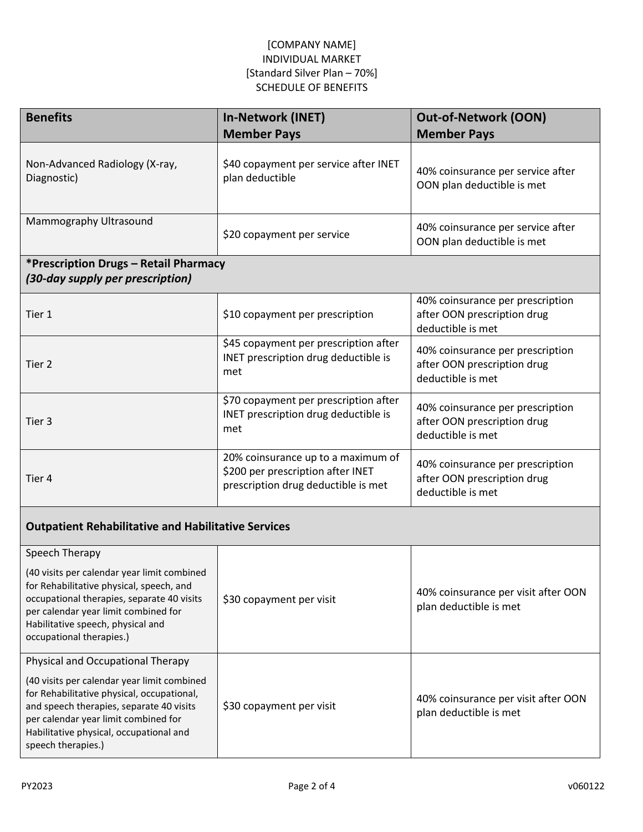| <b>Benefits</b>                                                                                                                                                                                                                                | <b>In-Network (INET)</b>                                                                                       | <b>Out-of-Network (OON)</b>                                                          |  |  |
|------------------------------------------------------------------------------------------------------------------------------------------------------------------------------------------------------------------------------------------------|----------------------------------------------------------------------------------------------------------------|--------------------------------------------------------------------------------------|--|--|
|                                                                                                                                                                                                                                                | <b>Member Pays</b>                                                                                             | <b>Member Pays</b>                                                                   |  |  |
| Non-Advanced Radiology (X-ray,<br>Diagnostic)                                                                                                                                                                                                  | \$40 copayment per service after INET<br>plan deductible                                                       | 40% coinsurance per service after<br>OON plan deductible is met                      |  |  |
| Mammography Ultrasound                                                                                                                                                                                                                         | \$20 copayment per service                                                                                     | 40% coinsurance per service after<br>OON plan deductible is met                      |  |  |
| *Prescription Drugs - Retail Pharmacy<br>(30-day supply per prescription)                                                                                                                                                                      |                                                                                                                |                                                                                      |  |  |
| Tier 1                                                                                                                                                                                                                                         | \$10 copayment per prescription                                                                                | 40% coinsurance per prescription<br>after OON prescription drug<br>deductible is met |  |  |
| Tier 2                                                                                                                                                                                                                                         | \$45 copayment per prescription after<br>INET prescription drug deductible is<br>met                           | 40% coinsurance per prescription<br>after OON prescription drug<br>deductible is met |  |  |
| Tier 3                                                                                                                                                                                                                                         | \$70 copayment per prescription after<br>INET prescription drug deductible is<br>met                           | 40% coinsurance per prescription<br>after OON prescription drug<br>deductible is met |  |  |
| Tier 4                                                                                                                                                                                                                                         | 20% coinsurance up to a maximum of<br>\$200 per prescription after INET<br>prescription drug deductible is met | 40% coinsurance per prescription<br>after OON prescription drug<br>deductible is met |  |  |
| <b>Outpatient Rehabilitative and Habilitative Services</b>                                                                                                                                                                                     |                                                                                                                |                                                                                      |  |  |
| Speech Therapy                                                                                                                                                                                                                                 |                                                                                                                |                                                                                      |  |  |
| (40 visits per calendar year limit combined<br>for Rehabilitative physical, speech, and<br>occupational therapies, separate 40 visits<br>per calendar year limit combined for<br>Habilitative speech, physical and<br>occupational therapies.) | \$30 copayment per visit                                                                                       | 40% coinsurance per visit after OON<br>plan deductible is met                        |  |  |
| Physical and Occupational Therapy                                                                                                                                                                                                              |                                                                                                                |                                                                                      |  |  |
| (40 visits per calendar year limit combined<br>for Rehabilitative physical, occupational,<br>and speech therapies, separate 40 visits<br>per calendar year limit combined for<br>Habilitative physical, occupational and<br>speech therapies.) | \$30 copayment per visit                                                                                       | 40% coinsurance per visit after OON<br>plan deductible is met                        |  |  |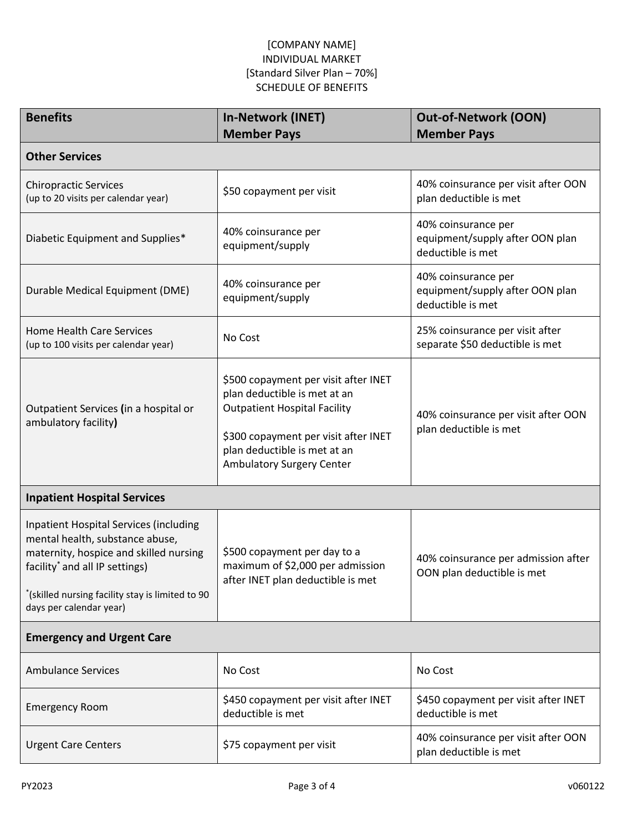| <b>Benefits</b>                                                                                                                                                                                                                                         | <b>In-Network (INET)</b><br><b>Member Pays</b>                                                                                                                                                                          | <b>Out-of-Network (OON)</b><br><b>Member Pays</b>                           |  |  |
|---------------------------------------------------------------------------------------------------------------------------------------------------------------------------------------------------------------------------------------------------------|-------------------------------------------------------------------------------------------------------------------------------------------------------------------------------------------------------------------------|-----------------------------------------------------------------------------|--|--|
| <b>Other Services</b>                                                                                                                                                                                                                                   |                                                                                                                                                                                                                         |                                                                             |  |  |
| <b>Chiropractic Services</b><br>(up to 20 visits per calendar year)                                                                                                                                                                                     | \$50 copayment per visit                                                                                                                                                                                                | 40% coinsurance per visit after OON<br>plan deductible is met               |  |  |
| Diabetic Equipment and Supplies*                                                                                                                                                                                                                        | 40% coinsurance per<br>equipment/supply                                                                                                                                                                                 | 40% coinsurance per<br>equipment/supply after OON plan<br>deductible is met |  |  |
| Durable Medical Equipment (DME)                                                                                                                                                                                                                         | 40% coinsurance per<br>equipment/supply                                                                                                                                                                                 | 40% coinsurance per<br>equipment/supply after OON plan<br>deductible is met |  |  |
| <b>Home Health Care Services</b><br>(up to 100 visits per calendar year)                                                                                                                                                                                | No Cost                                                                                                                                                                                                                 | 25% coinsurance per visit after<br>separate \$50 deductible is met          |  |  |
| Outpatient Services (in a hospital or<br>ambulatory facility)                                                                                                                                                                                           | \$500 copayment per visit after INET<br>plan deductible is met at an<br><b>Outpatient Hospital Facility</b><br>\$300 copayment per visit after INET<br>plan deductible is met at an<br><b>Ambulatory Surgery Center</b> | 40% coinsurance per visit after OON<br>plan deductible is met               |  |  |
| <b>Inpatient Hospital Services</b>                                                                                                                                                                                                                      |                                                                                                                                                                                                                         |                                                                             |  |  |
| <b>Inpatient Hospital Services (including</b><br>mental health, substance abuse,<br>maternity, hospice and skilled nursing<br>facility <sup>*</sup> and all IP settings)<br>"(skilled nursing facility stay is limited to 90<br>days per calendar year) | \$500 copayment per day to a<br>maximum of \$2,000 per admission<br>after INET plan deductible is met                                                                                                                   | 40% coinsurance per admission after<br>OON plan deductible is met           |  |  |
| <b>Emergency and Urgent Care</b>                                                                                                                                                                                                                        |                                                                                                                                                                                                                         |                                                                             |  |  |
| <b>Ambulance Services</b>                                                                                                                                                                                                                               | No Cost                                                                                                                                                                                                                 | No Cost                                                                     |  |  |
| <b>Emergency Room</b>                                                                                                                                                                                                                                   | \$450 copayment per visit after INET<br>deductible is met                                                                                                                                                               | \$450 copayment per visit after INET<br>deductible is met                   |  |  |
| <b>Urgent Care Centers</b>                                                                                                                                                                                                                              | \$75 copayment per visit                                                                                                                                                                                                | 40% coinsurance per visit after OON<br>plan deductible is met               |  |  |